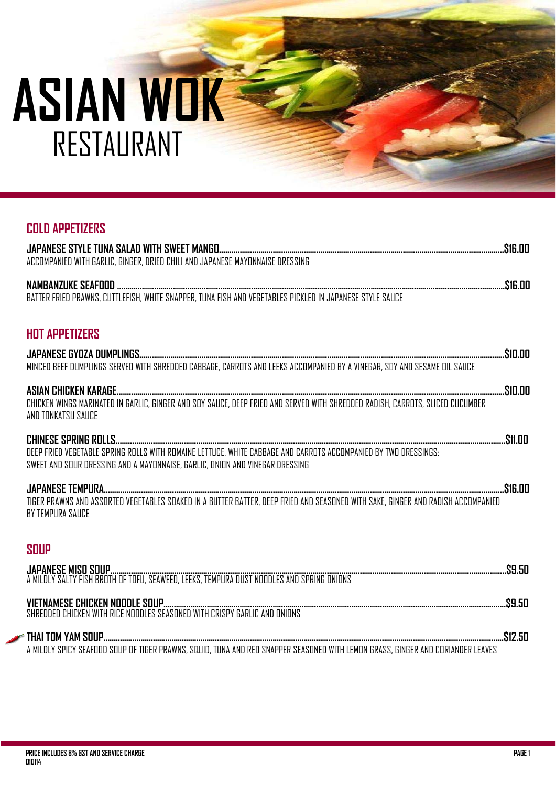# **COLD APPETIZERS**

| <b>HOT APPETIZERS</b>                                                                                                                                                                           |  |
|-------------------------------------------------------------------------------------------------------------------------------------------------------------------------------------------------|--|
| MINCED BEEF DUMPLINGS SERVED WITH SHREDDED CABBAGE, CARROTS AND LEEKS ACCOMPANIED BY A VINEGAR, SOY AND SESAME OIL SAUCE                                                                        |  |
| AND TONKATSU SAUCE                                                                                                                                                                              |  |
| DEEP FRIED VEGETABLE SPRING ROLLS WITH ROMAINE LETTUCE, WHITE CABBAGE AND CARROTS ACCOMPANIED BY TWO DRESSINGS:<br>SWEET AND SOUR DRESSING AND A MAYONNAISE, GARLIC, ONION AND VINEGAR DRESSING |  |
| TIGER PRAWNS AND ASSORTED VEGETABLES SOAKED IN A BUTTER BATTER, DEEP FRIED AND SEASONED WITH SAKE, GINGER AND RADISH ACCOMPANIED<br>BY TEMPURA SAUCE                                            |  |
| <b>SOUP</b>                                                                                                                                                                                     |  |
|                                                                                                                                                                                                 |  |
|                                                                                                                                                                                                 |  |
|                                                                                                                                                                                                 |  |

A MILDLY SPICY SEAFOOD SOUP OF TIGER PRAWNS, SQUID, TUNA AND RED SNAPPER SEASONED WITH LEMON GRASS, GINGER AND CORIANDER LEAVES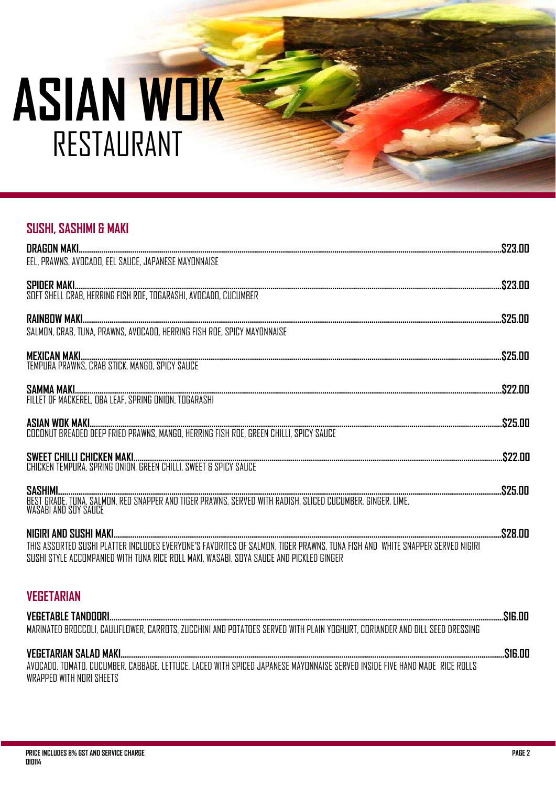# **ASIAN WOK** RESTAURANT

# **SUSHI, SASHIMI & MAKI**

| EEL, PRAWNS, AVOCADO, EEL SAUCE, JAPANESE MAYONNAISE                                                                         |  |
|------------------------------------------------------------------------------------------------------------------------------|--|
|                                                                                                                              |  |
|                                                                                                                              |  |
|                                                                                                                              |  |
| SALMON, CRAB, TUNA, PRAWNS, AVOCADO, HERRING FISH ROE, SPICY MAYONNAISE                                                      |  |
|                                                                                                                              |  |
|                                                                                                                              |  |
|                                                                                                                              |  |
|                                                                                                                              |  |
|                                                                                                                              |  |
|                                                                                                                              |  |
|                                                                                                                              |  |
|                                                                                                                              |  |
|                                                                                                                              |  |
|                                                                                                                              |  |
|                                                                                                                              |  |
| THIS ASSORTED SUSHI PLATTER INCLUDES EVERYONE'S FAVORITES OF SALMON, TIGER PRAWNS, TUNA FISH AND WHITE SNAPPER SERVED NIGIRI |  |
| SUSHI STYLE ACCOMPANIED WITH TUNA RICE ROLL MAKI. WASABI. SOYA SAUCE AND PICKLED GINGER                                      |  |
|                                                                                                                              |  |
| <b>VEGETARIAN</b>                                                                                                            |  |
| MARINATED BROCCOLI, CAULIFLOWER, CARROTS, ZUCCHINI AND POTATOES SERVED WITH PLAIN YOGHURT, CORIANDER AND DILL SEED DRESSING  |  |
|                                                                                                                              |  |
|                                                                                                                              |  |
| AVOCADO TOMATO CUCUMBER CABBAGE LETTUCE LACED WITH SPICED JAPANESE MAYONNAISE SERVED INSIDE FIVE HAND MADE RICE ROLLS        |  |

WRAPPED WITH NORI SHEETS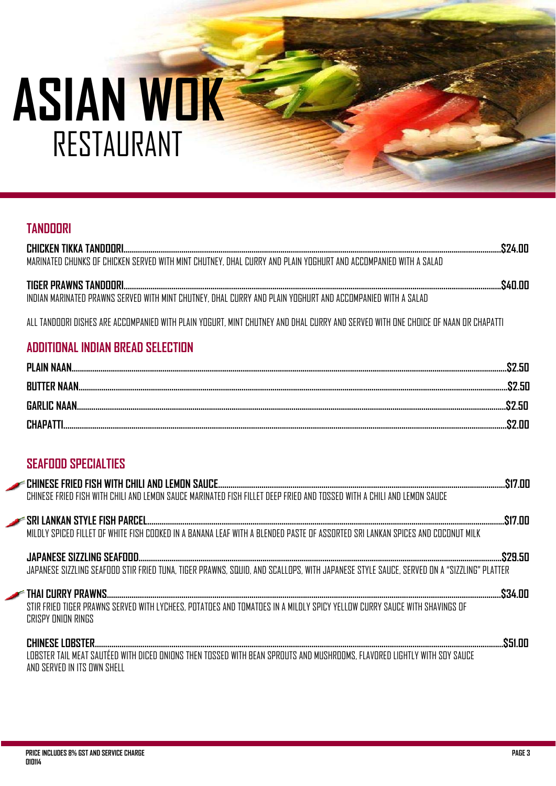| <b>TANDOORI</b>                                                                                                                                         |  |
|---------------------------------------------------------------------------------------------------------------------------------------------------------|--|
| MARINATED CHUNKS OF CHICKEN SERVED WITH MINT CHUTNEY, DHAL CURRY AND PLAIN YOGHURT AND ACCOMPANIED WITH A SALAD                                         |  |
| INDIAN MARINATED PRAWNS SERVED WITH MINT CHUTNEY, DHAL CURRY AND PLAIN YOGHURT AND ACCOMPANIED WITH A SAI AD                                            |  |
| ALL TANDOORI DISHES ARE ACCOMPANIED WITH PLAIN YOGURT. MINT CHUTNEY AND DHAL CURRY AND SERVED WITH ONE CHOICE OF NAAN OR CHAPATTI                       |  |
| <b>ADDITIONAL INDIAN BREAD SELECTION</b>                                                                                                                |  |
|                                                                                                                                                         |  |
|                                                                                                                                                         |  |
|                                                                                                                                                         |  |
|                                                                                                                                                         |  |
| <b>SEAFOOD SPECIALTIES</b><br>CHINESE FRIED FISH WITH CHILI AND LEMON SAUCE MARINATED FISH FILLET DEEP FRIED AND TOSSED WITH A CHILI AND LEMON SAUCE    |  |
| MILDLY SPICED FILLET OF WHITE FISH COOKED IN A BANANA LEAF WITH A BLENDED PASTE OF ASSORTED SRI LANKAN SPICES AND COCONUT MILK                          |  |
| JAPANESE SIZZLING SEAFOOD STIR FRIED TUNA, TIGER PRAWNS, SQUID, AND SCALLOPS, WITH JAPANESE STYLE SAUCE, SERVED ON A "SIZZLING" PLATTER                 |  |
| STIR FRIED TIGER PRAWNS SERVED WITH LYCHEES, POTATOES AND TOMATOES IN A MILDLY SPICY YELLOW CURRY SAUCE WITH SHAVINGS OF<br><b>CRISPY ONION RINGS</b>   |  |
| LOBSTER TAIL MEAT SAUTÉED WITH DICED ONIONS THEN TOSSED WITH BEAN SPROUTS AND MUSHROOMS. FLAVORED LIGHTLY WITH SOY SAUCE<br>AND SERVED IN ITS OWN SHELL |  |
|                                                                                                                                                         |  |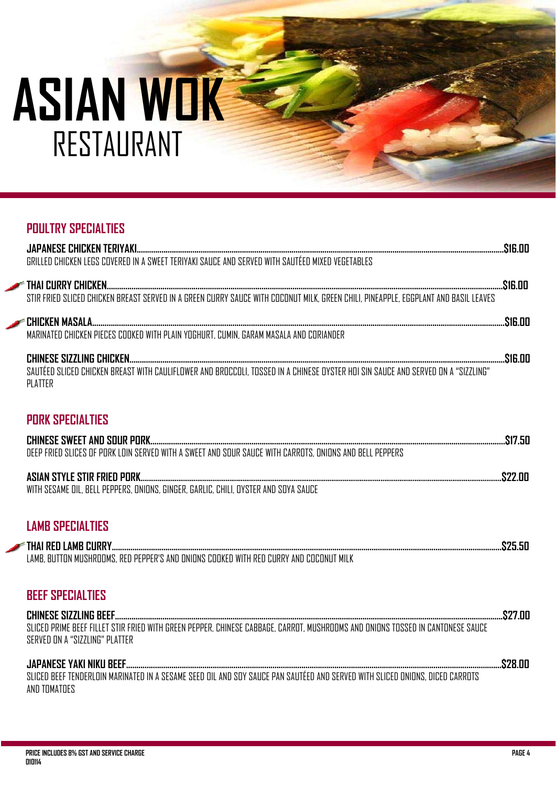# **ASIAN WOK** RESTAURANT

# **POULTRY SPECIALTIES**

| STIR FRIED SLICED CHICKEN BREAST SERVED IN A GREEN CURRY SAUCE WITH COCONUT MILK, GREEN CHILI, PINEAPPLE, EGGPLANT AND BASIL LEAVES                              |  |
|------------------------------------------------------------------------------------------------------------------------------------------------------------------|--|
| MARINATED CHICKEN PIECES COOKED WITH PLAIN YOGHURT, CUMIN, GARAM MASALA AND CORIANDER                                                                            |  |
| PLATTER                                                                                                                                                          |  |
| <b>PORK SPECIALTIES</b>                                                                                                                                          |  |
| DEEP FRIED SLICES OF PORK LOIN SERVED WITH A SWEET AND SOUR SAUCE WITH CARROTS, ONIONS AND BELL PEPPERS                                                          |  |
|                                                                                                                                                                  |  |
| <b>LAMB SPECIALTIES</b>                                                                                                                                          |  |
| LAMB. BUTTON MUSHROOMS. RED PEPPER'S AND ONIONS COOKED WITH RED CURRY AND COCONUT MILK                                                                           |  |
| <b>BEEF SPECIALTIES</b>                                                                                                                                          |  |
| SLICED PRIME BEEF FILLET STIR FRIED WITH GREEN PEPPER, CHINESE CABBAGE, CARROT, MUSHROOMS AND ONIONS TOSSED IN CANTONESE SAUCE<br>SERVED ON A "SIZZLING" PLATTER |  |

SLICED BEEF TENDERLOIN MARINATED IN A SESAME SEED OIL AND SOY SAUCE PAN SAUTÉED AND SERVED WITH SLICED ONIONS, DICED CARROTS AND TOMATOES

\$28.00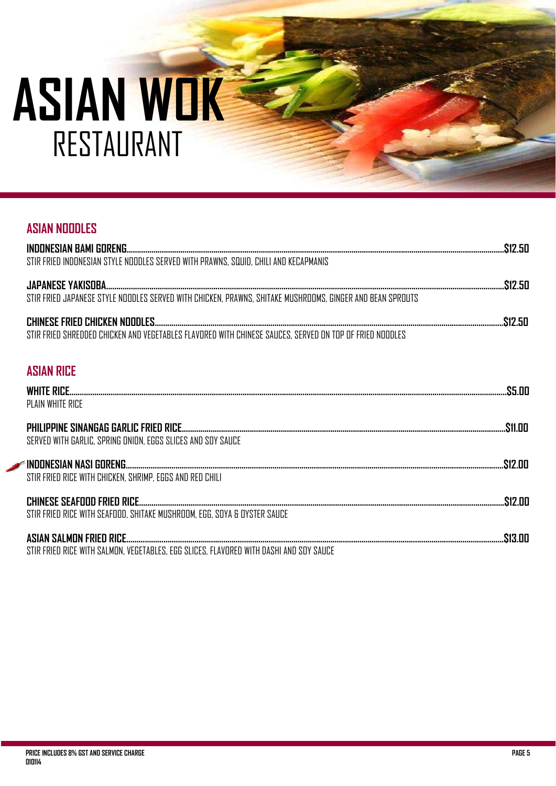# **ASIAN NOODLES INDONESIAN BAMI GORENG.......................................................................................................................................................................................\$12.50**  STIR FRIED INDONESIAN STYLE NOODLES SERVED WITH PRAWNS, SQUID, CHILI AND KECAPMANIS **JAPANESE YAKISOBA.................................................................................................................................................................................................\$12.50**  STIR FRIED JAPANESE STYLE NOODLES SERVED WITH CHICKEN, PRAWNS, SHITAKE MUSHROOMS, GINGER AND BEAN SPROUTS **CHINESE FRIED CHICKEN NOODLES.........................................................................................................................................................................\$12.50**  STIR FRIED SHREDDED CHICKEN AND VEGETABLES FLAVORED WITH CHINESE SAUCES. SERVED ON TOP OF FRIFD NOODLES **ASIAN RICE WHITE RICE....................................................................................................................................................................................................................\$5.00** PLAIN WHITE RICE **PHILIPPINE SINANGAG GARLIC FRIED RICE.............................................................................................................................................................\$11.00**  SERVED WITH GARLIC, SPRING ONION, EGGS SLICES AND SOY SAUCE **INDONESIAN NASI GORENG………………………………………........................………………................................................................................................\$12.00**  STIR FRIED RICE WITH CHICKEN, SHRIMP, EGGS AND RED CHILI **CHINESE SEAFOOD FRIED RICE………………………………………………...........................................................................................................................\$12.00**  STIR FRIED RICE WITH SEAFOOD, SHITAKE MUSHROOM, EGG, SOYA & OYSTER SAUCE **ASIAN SALMON FRIED RICE…………………………………….............................................................................................................................................\$13.00**  STIR FRIED RICE WITH SALMON, VEGETABLES, EGG SLICES, FLAVORED WITH DASHI AND SOY SAUCE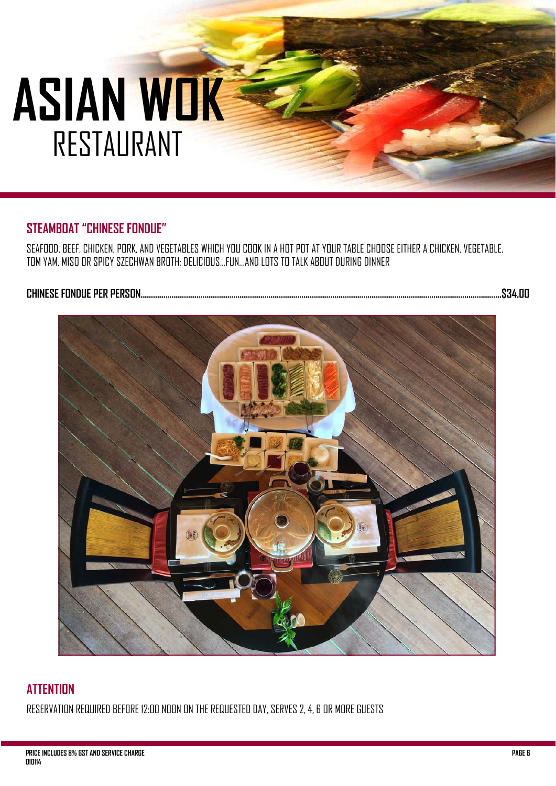# **STEAMBOAT "CHINESE FONDUE"**

SEAFOOD, BEEF, CHICKEN, PORK, AND VEGETABLES WHICH YOU COOK IN A HOT POT AT YOUR TABLE CHOOSE EITHER A CHICKEN, VEGETABLE, TOM YAM, MISO OR SPICY SZECHWAN BROTH; DELICIOUS...FUN...AND LOTS TO TALK ABOUT DURING DINNER

### **CHINESE FONDUE PER PERSON...............................................................................................................................................................................\$34.00**



# **ATTENTION**

RESERVATION REQUIRED BEFORE 12:00 NOON ON THE REQUESTED DAY, SERVES 2, 4, 6 OR MORE GUESTS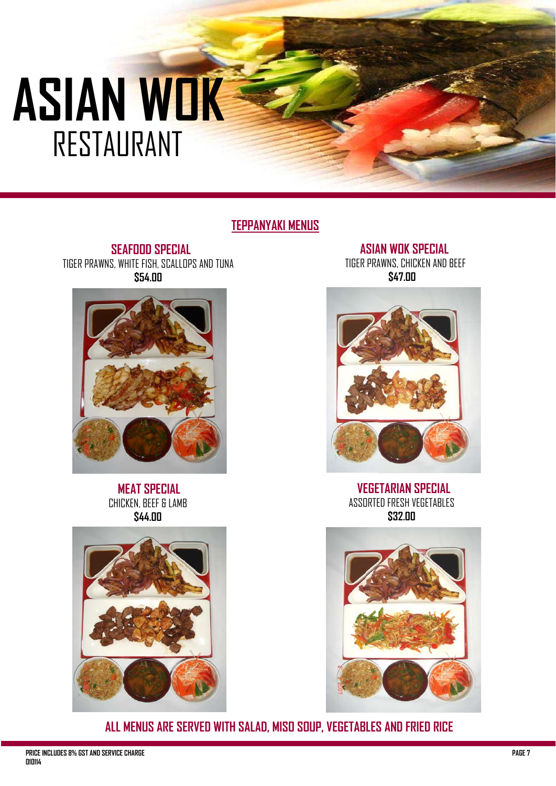# **TEPPANYAKI MENUS**

 **SEAFOOD SPECIAL** TIGER PRAWNS, WHITE FISH, SCALLOPS AND TUNA **\$54.00** 



 **MEAT SPECIAL**  CHICKEN, BEEF & LAMB **\$44.00** 



**ASIAN WOK SPECIAL** TIGER PRAWNS, CHICKEN AND BEEF **\$47.00** 



**VEGETARIAN SPECIAL** ASSORTED FRESH VEGETABLES **\$32.00** 



**ALL MENUS ARE SERVED WITH SALAD, MISO SOUP, VEGETABLES AND FRIED RICE**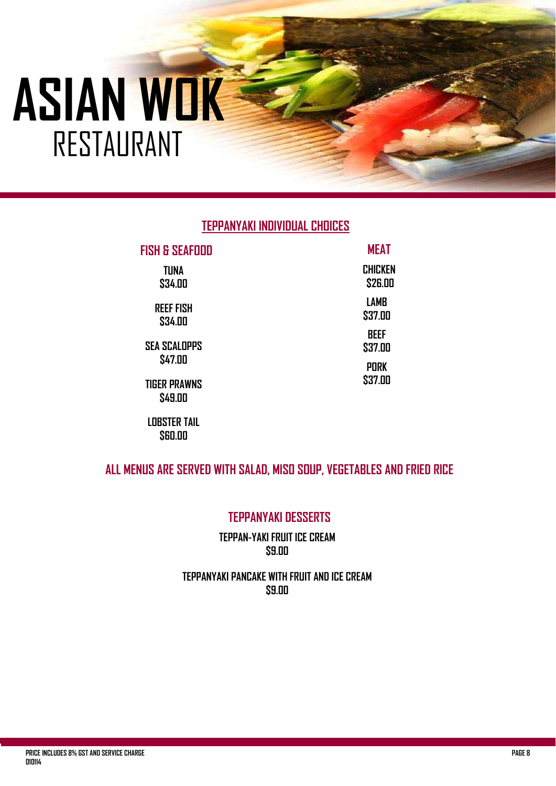# **TEPPANYAKI INDIVIDUAL CHOICES**

| <b>FISH &amp; SEAFOOD</b>      | <b>MEAT</b>               |
|--------------------------------|---------------------------|
| TUNA<br>\$34.00                | <b>CHICKEN</b><br>\$26.00 |
| <b>REEF FISH</b><br>\$34.00    | <b>LAMB</b><br>\$37.00    |
| <b>SEA SCALDPPS</b>            | BEEF<br>\$37.00           |
| \$47.00<br><b>TIGER PRAWNS</b> | <b>PORK</b><br>\$37.00    |
| \$49.00<br><b>LOBSTER TAIL</b> |                           |
|                                |                           |

**ALL MENUS ARE SERVED WITH SALAD, MISO SOUP, VEGETABLES AND FRIED RICE** 

**\$60.00** 

# **TEPPANYAKI DESSERTS**

**TEPPAN-YAKI FRUIT ICE CREAM \$9.00** 

### **TEPPANYAKI PANCAKE WITH FRUIT AND ICE CREAM \$9.00**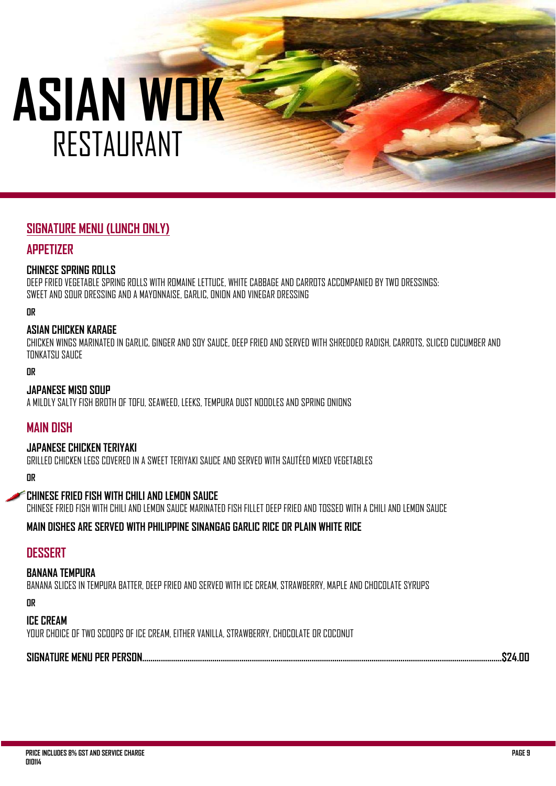# **SIGNATURE MENU (LUNCH ONLY)**

### **APPETIZER**

#### **CHINESE SPRING ROLLS**

DEEP FRIED VEGETABLE SPRING ROLLS WITH ROMAINE LETTUCE, WHITE CABBAGE AND CARROTS ACCOMPANIED BY TWO DRESSINGS: SWEET AND SOUR DRESSING AND A MAYONNAISE, GARLIC, ONION AND VINEGAR DRESSING

**OR** 

#### **ASIAN CHICKEN KARAGE**

CHICKEN WINGS MARINATED IN GARLIC, GINGER AND SOY SAUCE, DEEP FRIED AND SERVED WITH SHREDDED RADISH, CARROTS, SLICED CUCUMBER AND TONKATSU SAUCE

**OR** 

#### **JAPANESE MISO SOUP**

A MILDLY SALTY FISH BROTH OF TOFU, SEAWEED, LEEKS, TEMPURA DUST NOODLES AND SPRING ONIONS

#### **MAIN DISH**

#### **JAPANESE CHICKEN TERIYAKI**

GRILLED CHICKEN LEGS COVERED IN A SWEET TERIYAKI SAUCE AND SERVED WITH SAUTÉED MIXED VEGETABLES

**OR** 

#### **CHINESE FRIED FISH WITH CHILI AND LEMON SAUCE**  CHINESE FRIED FISH WITH CHILI AND LEMON SAUCE MARINATED FISH FILLET DEEP FRIED AND TOSSED WITH A CHILI AND LEMON SAUCE

**MAIN DISHES ARE SERVED WITH PHILIPPINE SINANGAG GARLIC RICE OR PLAIN WHITE RICE** 

### **DESSERT**

#### **BANANA TEMPURA**

BANANA SLICES IN TEMPURA BATTER, DEEP FRIED AND SERVED WITH ICE CREAM, STRAWBERRY, MAPLE AND CHOCOLATE SYRUPS **OR** 

**ICE CREAM** 

YOUR CHOICE OF TWO SCOOPS OF ICE CREAM, EITHER VANILLA, STRAWBERRY, CHOCOLATE OR COCONUT

#### **SIGNATURE MENU PER PERSON…………..………………………………………………..……………………………………………………………………….………………….\$24.00**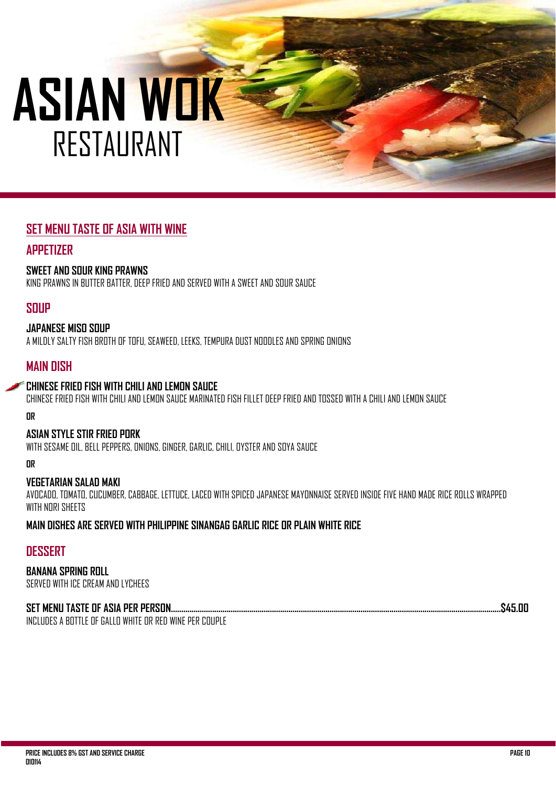# **SET MENU TASTE OF ASIA WITH WINE**

### **APPETIZER**

#### **SWEET AND SOUR KING PRAWNS**

KING PRAWNS IN BUTTER BATTER, DEEP FRIED AND SERVED WITH A SWEET AND SOUR SAUCE

### **SOUP**

#### **JAPANESE MISO SOUP**

A MILDLY SALTY FISH BROTH OF TOFU, SEAWEED, LEEKS, TEMPURA DUST NOODLES AND SPRING ONIONS

### **MAIN DISH**

#### **CHINESE FRIED FISH WITH CHILI AND LEMON SAUCE**

CHINESE FRIED FISH WITH CHILI AND LEMON SAUCE MARINATED FISH FILLET DEEP FRIED AND TOSSED WITH A CHILI AND LEMON SAUCE

**OR** 

#### **ASIAN STYLE STIR FRIED PORK**

WITH SESAME OIL, BELL PEPPERS, ONIONS, GINGER, GARLIC, CHILI, OYSTER AND SOYA SAUCE

**OR** 

#### **VEGETARIAN SALAD MAKI**

AVOCADO, TOMATO, CUCUMBER, CABBAGE, LETTUCE, LACED WITH SPICED JAPANESE MAYONNAISE SERVED INSIDE FIVE HAND MADE RICE ROLLS WRAPPED WITH NORI SHEETS

**MAIN DISHES ARE SERVED WITH PHILIPPINE SINANGAG GARLIC RICE OR PLAIN WHITE RICE** 

### **DESSERT**

**BANANA SPRING ROLL**  SERVED WITH ICE CREAM AND LYCHEES

#### **SET MENU TASTE OF ASIA PER PERSON………..………............................................................................................................................................\$45.00**

INCLUDES A BOTTLE OF GALLO WHITE OR RED WINE PER COUPLE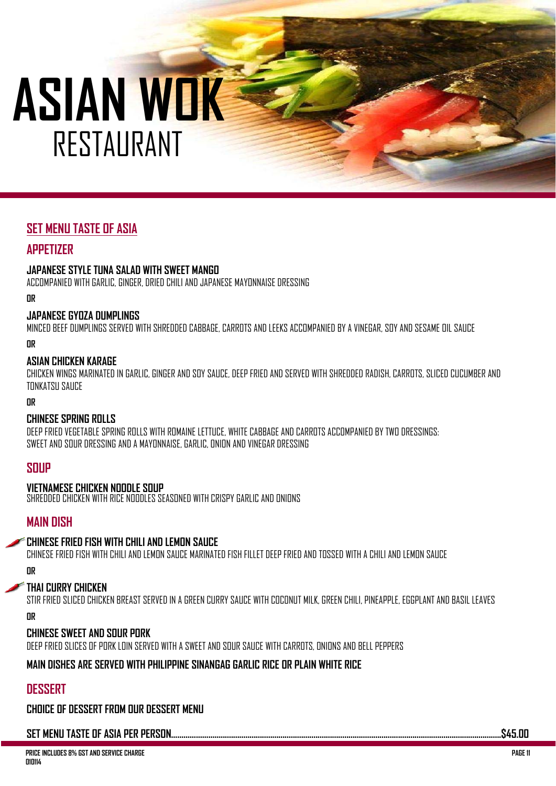# **SET MENU TASTE OF ASIA**

### **APPETIZER**

#### **JAPANESE STYLE TUNA SALAD WITH SWEET MANGO**

ACCOMPANIED WITH GARLIC, GINGER, DRIED CHILI AND JAPANESE MAYONNAISE DRESSING

**OR** 

#### **JAPANESE GYOZA DUMPLINGS**

MINCED BEEF DUMPLINGS SERVED WITH SHREDDED CABBAGE, CARROTS AND LEEKS ACCOMPANIED BY A VINEGAR, SOY AND SESAME OIL SAUCE

**OR** 

#### **ASIAN CHICKEN KARAGE**

CHICKEN WINGS MARINATED IN GARLIC, GINGER AND SOY SAUCE, DEEP FRIED AND SERVED WITH SHREDDED RADISH, CARROTS, SLICED CUCUMBER AND TONKATSU SAUCE

**OR** 

#### **CHINESE SPRING ROLLS**

DEEP FRIED VEGETABLE SPRING ROLLS WITH ROMAINE LETTUCE, WHITE CABBAGE AND CARROTS ACCOMPANIED BY TWO DRESSINGS: SWEET AND SOUR DRESSING AND A MAYONNAISE, GARLIC, ONION AND VINEGAR DRESSING

#### **SOUP**

#### **VIETNAMESE CHICKEN NOODLE SOUP**

SHREDDED CHICKEN WITH RICE NOODLES SEASONED WITH CRISPY GARLIC AND ONIONS

#### **MAIN DISH**

#### **CHINESE FRIED FISH WITH CHILI AND LEMON SAUCE**

CHINESE FRIED FISH WITH CHILI AND LEMON SAUCE MARINATED FISH FILLET DEEP FRIED AND TOSSED WITH A CHILI AND LEMON SAUCE

**OR** 

#### **THAI CURRY CHICKEN**

STIR FRIED SLICED CHICKEN BREAST SERVED IN A GREEN CURRY SAUCE WITH COCONUT MILK, GREEN CHILI, PINEAPPLE, EGGPLANT AND BASIL LEAVES

**OR** 

#### **CHINESE SWEET AND SOUR PORK**

DEEP FRIED SLICES OF PORK LOIN SERVED WITH A SWEET AND SOUR SAUCE WITH CARROTS, ONIONS AND BELL PEPPERS

#### **MAIN DISHES ARE SERVED WITH PHILIPPINE SINANGAG GARLIC RICE OR PLAIN WHITE RICE**

# **DESSERT**

**CHOICE OF DESSERT FROM OUR DESSERT MENU** 

#### **SET MENU TASTE OF ASIA PER PERSON……………………........................................................................................................................................\$45.00**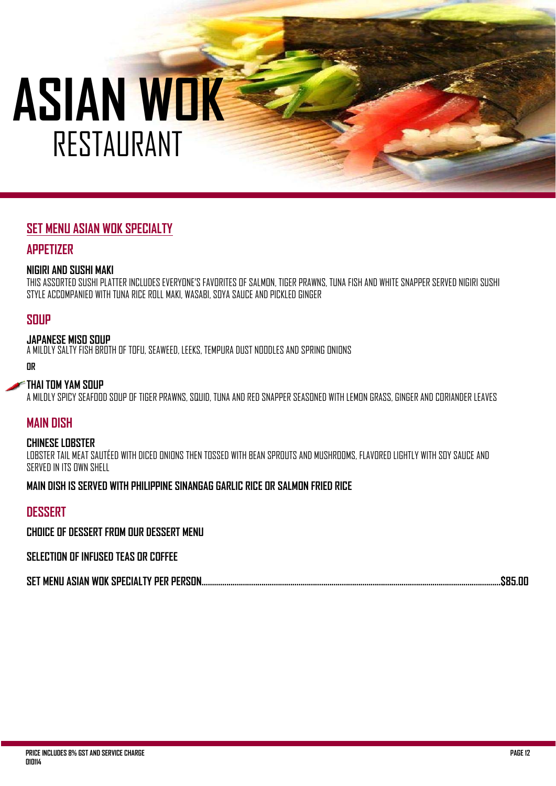# **SET MENU ASIAN WOK SPECIALTY**

### **APPETIZER**

#### **NIGIRI AND SUSHI MAKI**

THIS ASSORTED SUSHI PLATTER INCLUDES EVERYONE'S FAVORITES OF SALMON, TIGER PRAWNS, TUNA FISH AND WHITE SNAPPER SERVED NIGIRI SUSHI STYLE ACCOMPANIED WITH TUNA RICE ROLL MAKI, WASABI, SOYA SAUCE AND PICKLED GINGER

### **SOUP**

#### **JAPANESE MISO SOUP**

A MILDLY SALTY FISH BROTH OF TOFU, SEAWEED, LEEKS, TEMPURA DUST NOODLES AND SPRING ONIONS

**OR** 

#### **THAI TOM YAM SOUP**

A MILDLY SPICY SEAFOOD SOUP OF TIGER PRAWNS, SQUID, TUNA AND RED SNAPPER SEASONED WITH LEMON GRASS, GINGER AND CORIANDER LEAVES

### **MAIN DISH**

#### **CHINESE LOBSTER**

LOBSTER TAIL MEAT SAUTÉED WITH DICED ONIONS THEN TOSSED WITH BEAN SPROUTS AND MUSHROOMS, ELAVORED LIGHTLY WITH SOY SAUCE AND SERVED IN ITS OWN SHELL

#### **MAIN DISH IS SERVED WITH PHILIPPINE SINANGAG GARLIC RICE OR SALMON FRIED RICE**

### **DESSERT**

**CHOICE OF DESSERT FROM OUR DESSERT MENU** 

#### **SELECTION OF INFUSED TEAS OR COFFEE**

|--|--|--|